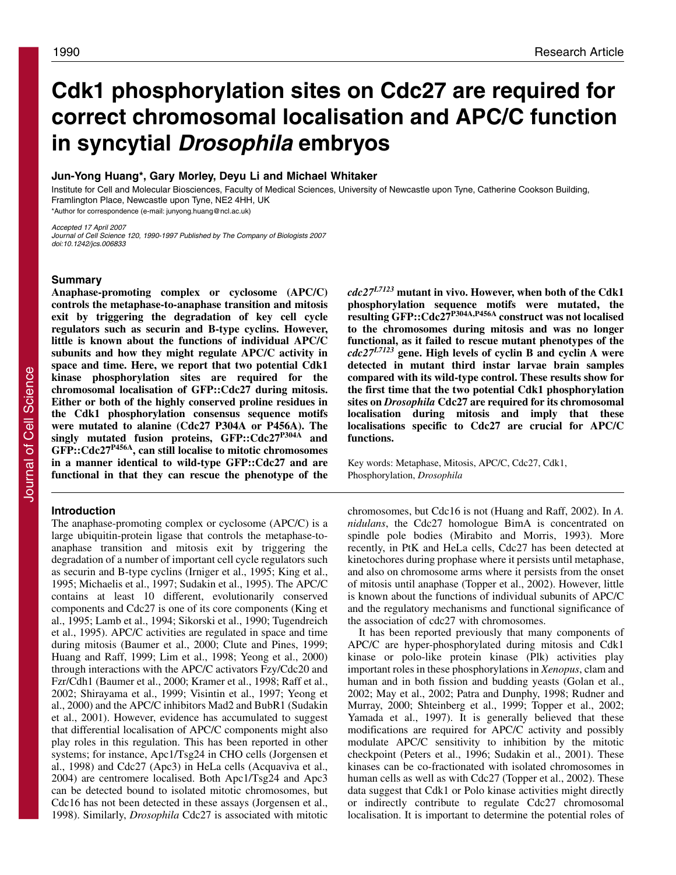# **Cdk1 phosphorylation sites on Cdc27 are required for correct chromosomal localisation and APC/C function in syncytial Drosophila embryos**

# **Jun-Yong Huang\*, Gary Morley, Deyu Li and Michael Whitaker**

Institute for Cell and Molecular Biosciences, Faculty of Medical Sciences, University of Newcastle upon Tyne, Catherine Cookson Building, Framlington Place, Newcastle upon Tyne, NE2 4HH, UK \*Author for correspondence (e-mail: junyong.huang@ncl.ac.uk)

Accepted 17 April 2007

Journal of Cell Science 120, 1990-1997 Published by The Company of Biologists 2007 doi:10.1242/jcs.006833

## **Summary**

**Anaphase-promoting complex or cyclosome (APC/C) controls the metaphase-to-anaphase transition and mitosis exit by triggering the degradation of key cell cycle regulators such as securin and B-type cyclins. However, little is known about the functions of individual APC/C subunits and how they might regulate APC/C activity in space and time. Here, we report that two potential Cdk1 kinase phosphorylation sites are required for the chromosomal localisation of GFP::Cdc27 during mitosis. Either or both of the highly conserved proline residues in the Cdk1 phosphorylation consensus sequence motifs were mutated to alanine (Cdc27 P304A or P456A). The singly mutated fusion proteins, GFP::Cdc27P304A and GFP::Cdc27P456A, can still localise to mitotic chromosomes in a manner identical to wild-type GFP::Cdc27 and are functional in that they can rescue the phenotype of the**

## **Introduction**

The anaphase-promoting complex or cyclosome (APC/C) is a large ubiquitin-protein ligase that controls the metaphase-toanaphase transition and mitosis exit by triggering the degradation of a number of important cell cycle regulators such as securin and B-type cyclins (Irniger et al., 1995; King et al., 1995; Michaelis et al., 1997; Sudakin et al., 1995). The APC/C contains at least 10 different, evolutionarily conserved components and Cdc27 is one of its core components (King et al., 1995; Lamb et al., 1994; Sikorski et al., 1990; Tugendreich et al., 1995). APC/C activities are regulated in space and time during mitosis (Baumer et al., 2000; Clute and Pines, 1999; Huang and Raff, 1999; Lim et al., 1998; Yeong et al., 2000) through interactions with the APC/C activators Fzy/Cdc20 and Fzr/Cdh1 (Baumer et al., 2000; Kramer et al., 1998; Raff et al., 2002; Shirayama et al., 1999; Visintin et al., 1997; Yeong et al., 2000) and the APC/C inhibitors Mad2 and BubR1 (Sudakin et al., 2001). However, evidence has accumulated to suggest that differential localisation of APC/C components might also play roles in this regulation. This has been reported in other systems; for instance, Apc1/Tsg24 in CHO cells (Jorgensen et al., 1998) and Cdc27 (Apc3) in HeLa cells (Acquaviva et al., 2004) are centromere localised. Both Apc1/Tsg24 and Apc3 can be detected bound to isolated mitotic chromosomes, but Cdc16 has not been detected in these assays (Jorgensen et al., 1998). Similarly, *Drosophila* Cdc27 is associated with mitotic *cdc27L7123* **mutant in vivo. However, when both of the Cdk1 phosphorylation sequence motifs were mutated, the resulting GFP::Cdc27P304A,P456A construct was not localised to the chromosomes during mitosis and was no longer functional, as it failed to rescue mutant phenotypes of the** *cdc27L7123* **gene. High levels of cyclin B and cyclin A were detected in mutant third instar larvae brain samples compared with its wild-type control. These results show for the first time that the two potential Cdk1 phosphorylation sites on** *Drosophila* **Cdc27 are required for its chromosomal localisation during mitosis and imply that these localisations specific to Cdc27 are crucial for APC/C functions.**

Key words: Metaphase, Mitosis, APC/C, Cdc27, Cdk1, Phosphorylation, *Drosophila*

chromosomes, but Cdc16 is not (Huang and Raff, 2002). In *A. nidulans*, the Cdc27 homologue BimA is concentrated on spindle pole bodies (Mirabito and Morris, 1993). More recently, in PtK and HeLa cells, Cdc27 has been detected at kinetochores during prophase where it persists until metaphase, and also on chromosome arms where it persists from the onset of mitosis until anaphase (Topper et al., 2002). However, little is known about the functions of individual subunits of APC/C and the regulatory mechanisms and functional significance of the association of cdc27 with chromosomes.

It has been reported previously that many components of APC/C are hyper-phosphorylated during mitosis and Cdk1 kinase or polo-like protein kinase (Plk) activities play important roles in these phosphorylations in *Xenopus*, clam and human and in both fission and budding yeasts (Golan et al., 2002; May et al., 2002; Patra and Dunphy, 1998; Rudner and Murray, 2000; Shteinberg et al., 1999; Topper et al., 2002; Yamada et al., 1997). It is generally believed that these modifications are required for APC/C activity and possibly modulate APC/C sensitivity to inhibition by the mitotic checkpoint (Peters et al., 1996; Sudakin et al., 2001). These kinases can be co-fractionated with isolated chromosomes in human cells as well as with Cdc27 (Topper et al., 2002). These data suggest that Cdk1 or Polo kinase activities might directly or indirectly contribute to regulate Cdc27 chromosomal localisation. It is important to determine the potential roles of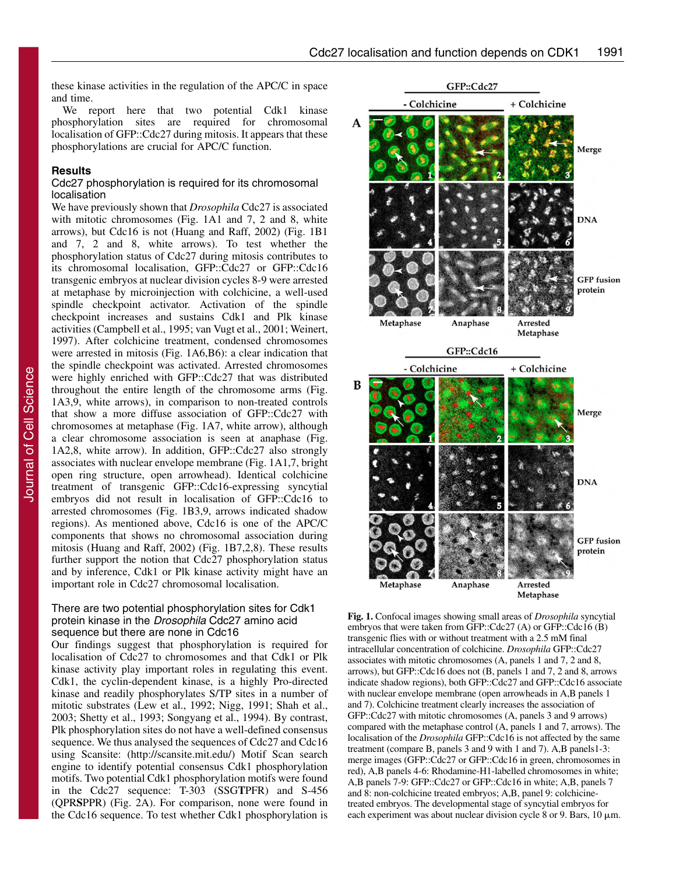these kinase activities in the regulation of the APC/C in space and time.

We report here that two potential Cdk1 kinase phosphorylation sites are required for chromosomal localisation of GFP::Cdc27 during mitosis. It appears that these phosphorylations are crucial for APC/C function.

## **Results**

# Cdc27 phosphorylation is required for its chromosomal localisation

We have previously shown that *Drosophila* Cdc27 is associated with mitotic chromosomes (Fig. 1A1 and 7, 2 and 8, white arrows), but Cdc16 is not (Huang and Raff, 2002) (Fig. 1B1 and 7, 2 and 8, white arrows). To test whether the phosphorylation status of Cdc27 during mitosis contributes to its chromosomal localisation, GFP::Cdc27 or GFP::Cdc16 transgenic embryos at nuclear division cycles 8-9 were arrested at metaphase by microinjection with colchicine, a well-used spindle checkpoint activator. Activation of the spindle checkpoint increases and sustains Cdk1 and Plk kinase activities (Campbell et al., 1995; van Vugt et al., 2001; Weinert, 1997). After colchicine treatment, condensed chromosomes were arrested in mitosis (Fig. 1A6,B6): a clear indication that the spindle checkpoint was activated. Arrested chromosomes were highly enriched with GFP::Cdc27 that was distributed throughout the entire length of the chromosome arms (Fig. 1A3,9, white arrows), in comparison to non-treated controls that show a more diffuse association of GFP::Cdc27 with chromosomes at metaphase (Fig. 1A7, white arrow), although a clear chromosome association is seen at anaphase (Fig. 1A2,8, white arrow). In addition, GFP::Cdc27 also strongly associates with nuclear envelope membrane (Fig. 1A1,7, bright open ring structure, open arrowhead). Identical colchicine treatment of transgenic GFP::Cdc16-expressing syncytial embryos did not result in localisation of GFP::Cdc16 to arrested chromosomes (Fig. 1B3,9, arrows indicated shadow regions). As mentioned above, Cdc16 is one of the APC/C components that shows no chromosomal association during mitosis (Huang and Raff, 2002) (Fig. 1B7,2,8). These results further support the notion that Cdc27 phosphorylation status and by inference, Cdk1 or Plk kinase activity might have an important role in Cdc27 chromosomal localisation.

# There are two potential phosphorylation sites for Cdk1 protein kinase in the Drosophila Cdc27 amino acid sequence but there are none in Cdc16

Our findings suggest that phosphorylation is required for localisation of Cdc27 to chromosomes and that Cdk1 or Plk kinase activity play important roles in regulating this event. Cdk1, the cyclin-dependent kinase, is a highly Pro-directed kinase and readily phosphorylates S/TP sites in a number of mitotic substrates (Lew et al., 1992; Nigg, 1991; Shah et al., 2003; Shetty et al., 1993; Songyang et al., 1994). By contrast, Plk phosphorylation sites do not have a well-defined consensus sequence. We thus analysed the sequences of Cdc27 and Cdc16 using Scansite: (http://scansite.mit.edu/) Motif Scan search engine to identify potential consensus Cdk1 phosphorylation motifs. Two potential Cdk1 phosphorylation motifs were found in the Cdc27 sequence: T-303 (SSG**T**PFR) and S-456 (QPR**S**PPR) (Fig. 2A). For comparison, none were found in the Cdc16 sequence. To test whether Cdk1 phosphorylation is



**Fig. 1.** Confocal images showing small areas of *Drosophila* syncytial embryos that were taken from GFP::Cdc27 (A) or GFP::Cdc16 (B) transgenic flies with or without treatment with a 2.5 mM final intracellular concentration of colchicine. *Drosophila* GFP::Cdc27 associates with mitotic chromosomes (A, panels 1 and 7, 2 and 8, arrows), but GFP::Cdc16 does not (B, panels 1 and 7, 2 and 8, arrows indicate shadow regions), both GFP::Cdc27 and GFP::Cdc16 associate with nuclear envelope membrane (open arrowheads in A,B panels 1 and 7). Colchicine treatment clearly increases the association of GFP::Cdc27 with mitotic chromosomes (A, panels 3 and 9 arrows) compared with the metaphase control (A, panels 1 and 7, arrows). The localisation of the *Drosophila* GFP::Cdc16 is not affected by the same treatment (compare B, panels 3 and 9 with 1 and 7). A,B panels1-3: merge images (GFP::Cdc27 or GFP::Cdc16 in green, chromosomes in red), A,B panels 4-6: Rhodamine-H1-labelled chromosomes in white; A,B panels 7-9: GFP::Cdc27 or GFP::Cdc16 in white; A,B, panels 7 and 8: non-colchicine treated embryos; A,B, panel 9: colchicinetreated embryos. The developmental stage of syncytial embryos for each experiment was about nuclear division cycle  $8$  or  $9$ . Bars,  $10 \mu m$ .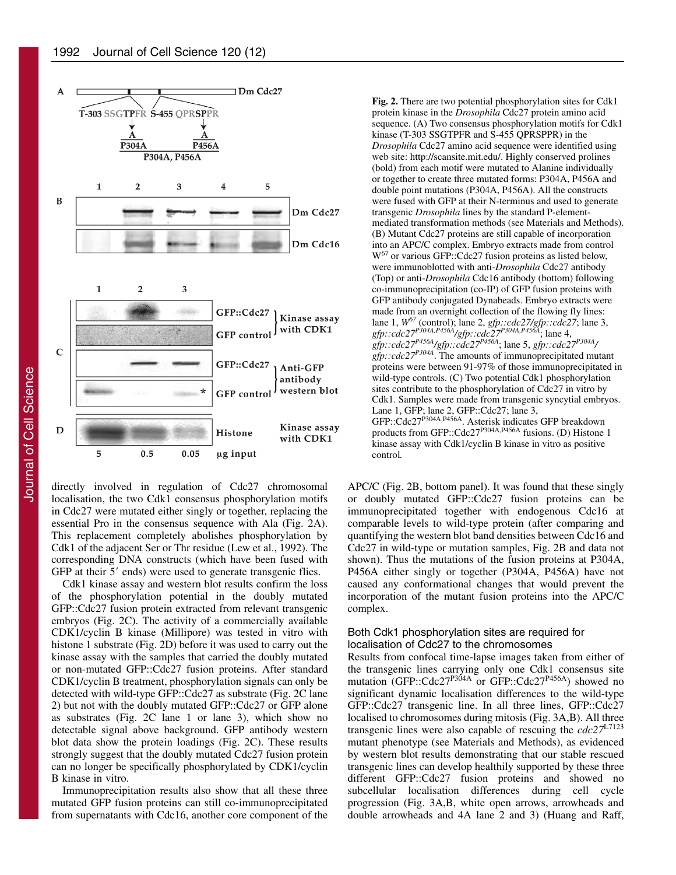

directly involved in regulation of Cdc27 chromosomal localisation, the two Cdk1 consensus phosphorylation motifs in Cdc27 were mutated either singly or together, replacing the essential Pro in the consensus sequence with Ala (Fig. 2A). This replacement completely abolishes phosphorylation by Cdk1 of the adjacent Ser or Thr residue (Lew et al., 1992). The corresponding DNA constructs (which have been fused with GFP at their 5' ends) were used to generate transgenic flies.

Cdk1 kinase assay and western blot results confirm the loss of the phosphorylation potential in the doubly mutated GFP::Cdc27 fusion protein extracted from relevant transgenic embryos (Fig. 2C). The activity of a commercially available CDK1/cyclin B kinase (Millipore) was tested in vitro with histone 1 substrate (Fig. 2D) before it was used to carry out the kinase assay with the samples that carried the doubly mutated or non-mutated GFP::Cdc27 fusion proteins. After standard CDK1/cyclin B treatment, phosphorylation signals can only be detected with wild-type GFP::Cdc27 as substrate (Fig. 2C lane 2) but not with the doubly mutated GFP::Cdc27 or GFP alone as substrates (Fig. 2C lane 1 or lane 3), which show no detectable signal above background. GFP antibody western blot data show the protein loadings (Fig. 2C). These results strongly suggest that the doubly mutated Cdc27 fusion protein can no longer be specifically phosphorylated by CDK1/cyclin B kinase in vitro.

Immunoprecipitation results also show that all these three mutated GFP fusion proteins can still co-immunoprecipitated from supernatants with Cdc16, another core component of the **Fig. 2.** There are two potential phosphorylation sites for Cdk1 protein kinase in the *Drosophila* Cdc27 protein amino acid sequence. (A) Two consensus phosphorylation motifs for Cdk1 kinase (T-303 SSGTPFR and S-455 QPRSPPR) in the *Drosophila* Cdc27 amino acid sequence were identified using web site: http://scansite.mit.edu/. Highly conserved prolines (bold) from each motif were mutated to Alanine individually or together to create three mutated forms: P304A, P456A and double point mutations (P304A, P456A). All the constructs were fused with GFP at their N-terminus and used to generate transgenic *Drosophila* lines by the standard P-elementmediated transformation methods (see Materials and Methods). (B) Mutant Cdc27 proteins are still capable of incorporation into an APC/C complex. Embryo extracts made from control W<sup>67</sup> or various GFP::Cdc27 fusion proteins as listed below, were immunoblotted with anti-*Drosophila* Cdc27 antibody (Top) or anti-*Drosophila* Cdc16 antibody (bottom) following co-immunoprecipitation (co-IP) of GFP fusion proteins with GFP antibody conjugated Dynabeads. Embryo extracts were made from an overnight collection of the flowing fly lines: lane 1, *W<sup>67</sup>* (control); lane 2, *gfp::cdc27/gfp::cdc27*; lane 3, *gfp::cdc27P304A,P456A/gfp::cdc27P304A,P456A*; lane 4, *gfp::cdc27P456A/gfp::cdc27P456A*; lane 5, *gfp::cdc27P304A/ gfp::cdc27<sup>P304A</sup>*. The amounts of immunoprecipitated mutant proteins were between 91-97% of those immunoprecipitated in wild-type controls. (C) Two potential Cdk1 phosphorylation sites contribute to the phosphorylation of Cdc27 in vitro by Cdk1. Samples were made from transgenic syncytial embryos. Lane 1, GFP; lane 2, GFP::Cdc27; lane 3, GFP::Cdc27P304A,P456A. Asterisk indicates GFP breakdown products from GFP::Cdc27P304A,P456A fusions. (D) Histone 1 kinase assay with Cdk1/cyclin B kinase in vitro as positive control*.*

APC/C (Fig. 2B, bottom panel). It was found that these singly or doubly mutated GFP::Cdc27 fusion proteins can be immunoprecipitated together with endogenous Cdc16 at comparable levels to wild-type protein (after comparing and quantifying the western blot band densities between Cdc16 and Cdc27 in wild-type or mutation samples, Fig. 2B and data not shown). Thus the mutations of the fusion proteins at P304A, P456A either singly or together (P304A, P456A) have not caused any conformational changes that would prevent the incorporation of the mutant fusion proteins into the APC/C complex.

# Both Cdk1 phosphorylation sites are required for localisation of Cdc27 to the chromosomes

Results from confocal time-lapse images taken from either of the transgenic lines carrying only one Cdk1 consensus site mutation (GFP::Cdc27<sup>P304A</sup> or GFP::Cdc27<sup>P456A</sup>) showed no significant dynamic localisation differences to the wild-type GFP::Cdc27 transgenic line. In all three lines, GFP::Cdc27 localised to chromosomes during mitosis (Fig. 3A,B). All three transgenic lines were also capable of rescuing the *cdc27*L7123 mutant phenotype (see Materials and Methods), as evidenced by western blot results demonstrating that our stable rescued transgenic lines can develop healthily supported by these three different GFP::Cdc27 fusion proteins and showed no subcellular localisation differences during cell cycle progression (Fig. 3A,B, white open arrows, arrowheads and double arrowheads and 4A lane 2 and 3) (Huang and Raff,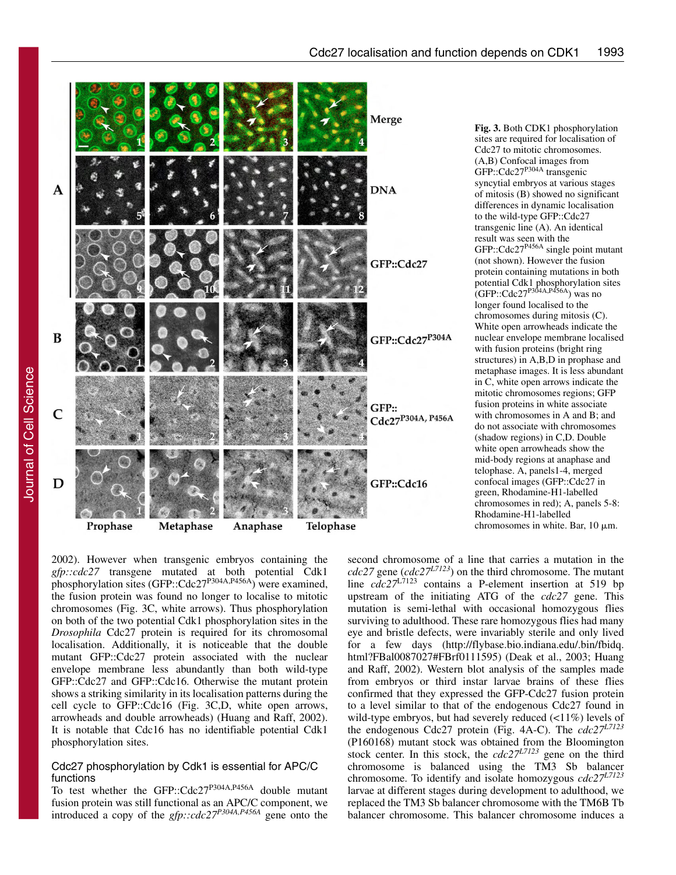

**Fig. 3.** Both CDK1 phosphorylation sites are required for localisation of Cdc27 to mitotic chromosomes. (A,B) Confocal images from  $GFP::Cdc27<sup>P304A</sup> transgenic$ syncytial embryos at various stages of mitosis (B) showed no significant differences in dynamic localisation to the wild-type GFP::Cdc27 transgenic line (A). An identical result was seen with the GFP::Cdc27P456A single point mutant (not shown). However the fusion protein containing mutations in both potential Cdk1 phosphorylation sites  $(GFP::Cdc27^{P304A,P456A})$  was no longer found localised to the chromosomes during mitosis (C). White open arrowheads indicate the nuclear envelope membrane localised with fusion proteins (bright ring structures) in A,B,D in prophase and metaphase images. It is less abundant in C, white open arrows indicate the mitotic chromosomes regions; GFP fusion proteins in white associate with chromosomes in A and B; and do not associate with chromosomes (shadow regions) in C,D. Double white open arrowheads show the mid-body regions at anaphase and telophase. A, panels1-4, merged confocal images (GFP::Cdc27 in green, Rhodamine-H1-labelled chromosomes in red); A, panels 5-8: Rhodamine-H1-labelled chromosomes in white. Bar,  $10 \mu m$ .

2002). However when transgenic embryos containing the *gfp::cdc27* transgene mutated at both potential Cdk1 phosphorylation sites (GFP::Cdc27<sup>P304A,P456A</sup>) were examined, the fusion protein was found no longer to localise to mitotic chromosomes (Fig. 3C, white arrows). Thus phosphorylation on both of the two potential Cdk1 phosphorylation sites in the *Drosophila* Cdc27 protein is required for its chromosomal localisation. Additionally, it is noticeable that the double mutant GFP::Cdc27 protein associated with the nuclear envelope membrane less abundantly than both wild-type GFP::Cdc27 and GFP::Cdc16. Otherwise the mutant protein shows a striking similarity in its localisation patterns during the cell cycle to GFP::Cdc16 (Fig. 3C,D, white open arrows, arrowheads and double arrowheads) (Huang and Raff, 2002). It is notable that Cdc16 has no identifiable potential Cdk1 phosphorylation sites.

## Cdc27 phosphorylation by Cdk1 is essential for APC/C functions

To test whether the GFP::Cdc27<sup>P304A,P456A</sup> double mutant fusion protein was still functional as an APC/C component, we introduced a copy of the *gfp::cdc27P304A,P456A* gene onto the

second chromosome of a line that carries a mutation in the *cdc27* gene (*cdc27L7123*) on the third chromosome. The mutant line *cdc27*L7123 contains a P-element insertion at 519 bp upstream of the initiating ATG of the *cdc27* gene. This mutation is semi-lethal with occasional homozygous flies surviving to adulthood. These rare homozygous flies had many eye and bristle defects, were invariably sterile and only lived for a few days (http://flybase.bio.indiana.edu/.bin/fbidq. html?FBal0087027#FBrf0111595) (Deak et al., 2003; Huang and Raff, 2002). Western blot analysis of the samples made from embryos or third instar larvae brains of these flies confirmed that they expressed the GFP-Cdc27 fusion protein to a level similar to that of the endogenous Cdc27 found in wild-type embryos, but had severely reduced (<11%) levels of the endogenous Cdc27 protein (Fig. 4A-C). The *cdc27L7123* (P160168) mutant stock was obtained from the Bloomington stock center. In this stock, the *cdc27L7123* gene on the third chromosome is balanced using the TM3 Sb balancer chromosome. To identify and isolate homozygous *cdc27L7123* larvae at different stages during development to adulthood, we replaced the TM3 Sb balancer chromosome with the TM6B Tb balancer chromosome. This balancer chromosome induces a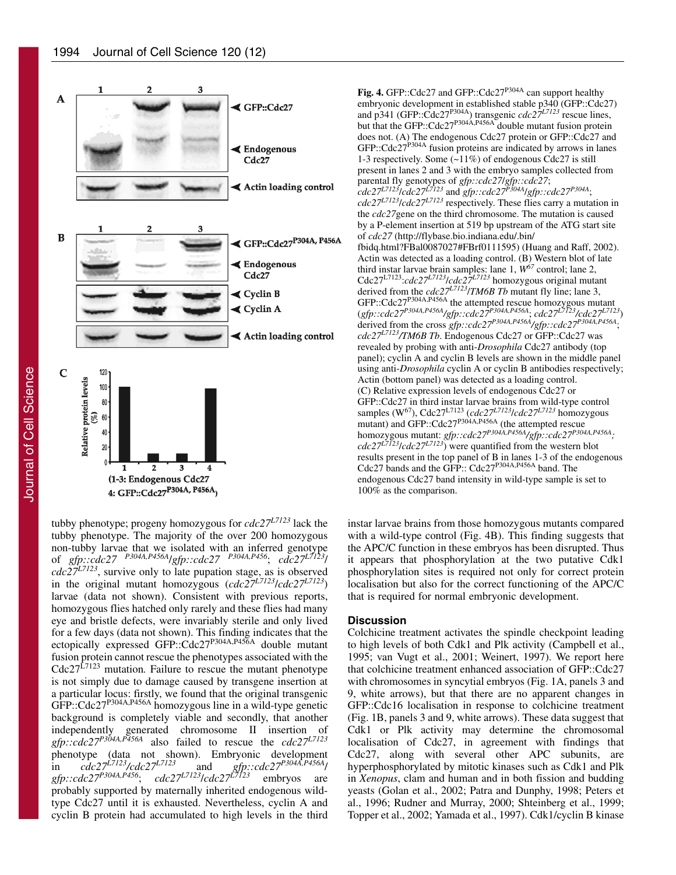

tubby phenotype; progeny homozygous for *cdc27L7123* lack the tubby phenotype. The majority of the over 200 homozygous non-tubby larvae that we isolated with an inferred genotype of *gfp::cdc27 P304A,P456A*/*gfp::cdc27 P304A,P456*; *cdc27L7123*/  $cdc27^{L7123}$ , survive only to late pupation stage, as is observed in the original mutant homozygous (*cdc27L7123*/*cdc27L7123*) larvae (data not shown). Consistent with previous reports, homozygous flies hatched only rarely and these flies had many eye and bristle defects, were invariably sterile and only lived for a few days (data not shown). This finding indicates that the ectopically expressed GFP::Cdc27P304A,P456A double mutant fusion protein cannot rescue the phenotypes associated with the Cdc27<sup>L7123</sup> mutation. Failure to rescue the mutant phenotype is not simply due to damage caused by transgene insertion at a particular locus: firstly, we found that the original transgenic GFP::Cdc27<sup>P304A,P456A</sup> homozygous line in a wild-type genetic background is completely viable and secondly, that another independently generated chromosome II insertion of *gfp::cdc27P304A,P456A* also failed to rescue the *cdc27L7123* phenotype (data not shown). Embryonic development<br>in  $cdc27^{L7/123}/cdc27^{L7/123}$  and  $gfp::cdc27^{P304A,P456A}$ in *cdc27L7123/cdc27L7123* and *gfp::cdc27P304A,P456A*/ *gfp::cdc27P304A,P456*; *cdc27L7123*/*cdc27L7123* embryos are probably supported by maternally inherited endogenous wildtype Cdc27 until it is exhausted. Nevertheless, cyclin A and cyclin B protein had accumulated to high levels in the third

Fig. 4. GFP::Cdc27 and GFP::Cdc27<sup>P304A</sup> can support healthy embryonic development in established stable p340 (GFP::Cdc27) and p341 (GFP::Cdc27P304A) transgenic *cdc27L7123* rescue lines, but that the GFP::Cdc27<sup>P304A,P456A</sup> double mutant fusion protein does not. (A) The endogenous Cdc27 protein or GFP::Cdc27 and  $GFP::Cdc27<sup>P304A</sup>$  fusion proteins are indicated by arrows in lanes 1-3 respectively. Some (~11%) of endogenous Cdc27 is still present in lanes 2 and 3 with the embryo samples collected from parental fly genotypes of *gfp::cdc27*/*gfp::cdc27*; *cdc27L7123*/*cdc27L7123* and *gfp::cdc27P304A*/*gfp::cdc27P304A*; *cdc27L7123*/*cdc27L7123* respectively. These flies carry a mutation in the *cdc27*gene on the third chromosome. The mutation is caused by a P-element insertion at 519 bp upstream of the ATG start site of *cdc27* (http://flybase.bio.indiana.edu/.bin/ fbidq.html?FBal0087027#FBrf0111595) (Huang and Raff, 2002). Actin was detected as a loading control. (B) Western blot of late third instar larvae brain samples: lane 1, *W67* control; lane 2, Cdc27L7123:*cdc27L7123*/*cdc27L7123* homozygous original mutant derived from the *cdc27L7123*/*TM6B Tb* mutant fly line; lane 3, GFP::Cdc27<sup>P304A,P456A</sup> the attempted rescue homozygous mutant (*gfp::cdc27P304A,P456A/gfp::cdc27P304A,P456A*; *cdc27L7123/cdc27L7123*) derived from the cross *gfp::cdc27P304A,P456A/gfp::cdc27P304A,P456A*; *cdc27L7123/TM6B Tb*. Endogenous Cdc27 or GFP::Cdc27 was revealed by probing with anti-*Drosophila* Cdc27 antibody (top panel); cyclin A and cyclin B levels are shown in the middle panel using anti-*Drosophila* cyclin A or cyclin B antibodies respectively; Actin (bottom panel) was detected as a loading control. (C) Relative expression levels of endogenous Cdc27 or GFP::Cdc27 in third instar larvae brains from wild-type control samples (W67), Cdc27L7123 (*cdc27L7123*/*cdc27L7123* homozygous mutant) and GFP::Cdc27<sup>P304A,P456A</sup> (the attempted rescue homozygous mutant: *gfp::cdc27P304A,P456A/gfp::cdc27P304A,P456A;*  $cdc27^{L7123}/cdc27^{L7123}$ ) were quantified from the western blot results present in the top panel of B in lanes 1-3 of the endogenous Cdc27 bands and the GFP:: Cdc27P304A,P456A band. The endogenous Cdc27 band intensity in wild-type sample is set to 100% as the comparison.

instar larvae brains from those homozygous mutants compared with a wild-type control (Fig. 4B). This finding suggests that the APC/C function in these embryos has been disrupted. Thus it appears that phosphorylation at the two putative Cdk1 phosphorylation sites is required not only for correct protein localisation but also for the correct functioning of the APC/C that is required for normal embryonic development.

## **Discussion**

Colchicine treatment activates the spindle checkpoint leading to high levels of both Cdk1 and Plk activity (Campbell et al., 1995; van Vugt et al., 2001; Weinert, 1997). We report here that colchicine treatment enhanced association of GFP::Cdc27 with chromosomes in syncytial embryos (Fig. 1A, panels 3 and 9, white arrows), but that there are no apparent changes in GFP::Cdc16 localisation in response to colchicine treatment (Fig. 1B, panels 3 and 9, white arrows). These data suggest that Cdk1 or Plk activity may determine the chromosomal localisation of Cdc27, in agreement with findings that Cdc27, along with several other APC subunits, are hyperphosphorylated by mitotic kinases such as Cdk1 and Plk in *Xenopus*, clam and human and in both fission and budding yeasts (Golan et al., 2002; Patra and Dunphy, 1998; Peters et al., 1996; Rudner and Murray, 2000; Shteinberg et al., 1999; Topper et al., 2002; Yamada et al., 1997). Cdk1/cyclin B kinase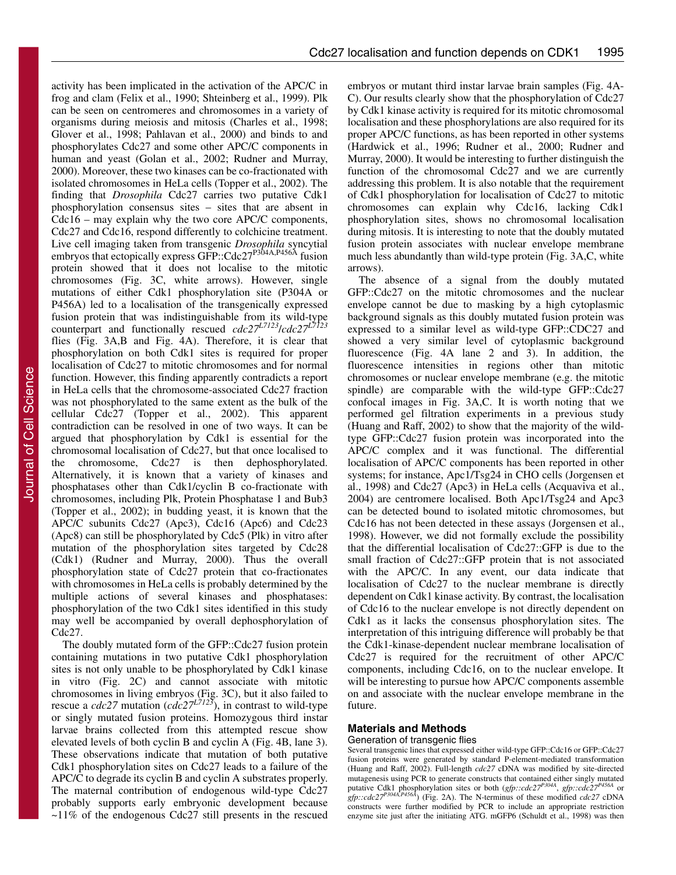activity has been implicated in the activation of the APC/C in frog and clam (Felix et al., 1990; Shteinberg et al., 1999). Plk can be seen on centromeres and chromosomes in a variety of organisms during meiosis and mitosis (Charles et al., 1998; Glover et al., 1998; Pahlavan et al., 2000) and binds to and phosphorylates Cdc27 and some other APC/C components in human and yeast (Golan et al., 2002; Rudner and Murray, 2000). Moreover, these two kinases can be co-fractionated with isolated chromosomes in HeLa cells (Topper et al., 2002). The finding that *Drosophila* Cdc27 carries two putative Cdk1 phosphorylation consensus sites – sites that are absent in Cdc16 – may explain why the two core APC/C components, Cdc27 and Cdc16, respond differently to colchicine treatment. Live cell imaging taken from transgenic *Drosophila* syncytial embryos that ectopically express GFP::Cdc27<sup>P304A,P456A</sup> fusion protein showed that it does not localise to the mitotic chromosomes (Fig. 3C, white arrows). However, single mutations of either Cdk1 phosphorylation site (P304A or P456A) led to a localisation of the transgenically expressed fusion protein that was indistinguishable from its wild-type counterpart and functionally rescued *cdc27L7123*/*cdc27L7123* flies (Fig. 3A,B and Fig. 4A). Therefore, it is clear that phosphorylation on both Cdk1 sites is required for proper localisation of Cdc27 to mitotic chromosomes and for normal function. However, this finding apparently contradicts a report in HeLa cells that the chromosome-associated Cdc27 fraction was not phosphorylated to the same extent as the bulk of the cellular Cdc27 (Topper et al., 2002). This apparent contradiction can be resolved in one of two ways. It can be argued that phosphorylation by Cdk1 is essential for the chromosomal localisation of Cdc27, but that once localised to the chromosome, Cdc27 is then dephosphorylated. Alternatively, it is known that a variety of kinases and phosphatases other than Cdk1/cyclin B co-fractionate with chromosomes, including Plk, Protein Phosphatase 1 and Bub3 (Topper et al., 2002); in budding yeast, it is known that the APC/C subunits Cdc27 (Apc3), Cdc16 (Apc6) and Cdc23 (Apc8) can still be phosphorylated by Cdc5 (Plk) in vitro after mutation of the phosphorylation sites targeted by Cdc28 (Cdk1) (Rudner and Murray, 2000). Thus the overall phosphorylation state of Cdc27 protein that co-fractionates with chromosomes in HeLa cells is probably determined by the multiple actions of several kinases and phosphatases: phosphorylation of the two Cdk1 sites identified in this study may well be accompanied by overall dephosphorylation of Cdc27.

The doubly mutated form of the GFP::Cdc27 fusion protein containing mutations in two putative Cdk1 phosphorylation sites is not only unable to be phosphorylated by Cdk1 kinase in vitro (Fig. 2C) and cannot associate with mitotic chromosomes in living embryos (Fig. 3C), but it also failed to rescue a *cdc27* mutation (*cdc27L7123*), in contrast to wild-type or singly mutated fusion proteins. Homozygous third instar larvae brains collected from this attempted rescue show elevated levels of both cyclin B and cyclin A (Fig. 4B, lane 3). These observations indicate that mutation of both putative Cdk1 phosphorylation sites on Cdc27 leads to a failure of the APC/C to degrade its cyclin B and cyclin A substrates properly. The maternal contribution of endogenous wild-type Cdc27 probably supports early embryonic development because  $\sim$ 11% of the endogenous Cdc27 still presents in the rescued

embryos or mutant third instar larvae brain samples (Fig. 4A-C). Our results clearly show that the phosphorylation of Cdc27 by Cdk1 kinase activity is required for its mitotic chromosomal localisation and these phosphorylations are also required for its proper APC/C functions, as has been reported in other systems (Hardwick et al., 1996; Rudner et al., 2000; Rudner and Murray, 2000). It would be interesting to further distinguish the function of the chromosomal Cdc27 and we are currently addressing this problem. It is also notable that the requirement of Cdk1 phosphorylation for localisation of Cdc27 to mitotic chromosomes can explain why Cdc16, lacking Cdk1 phosphorylation sites, shows no chromosomal localisation during mitosis. It is interesting to note that the doubly mutated fusion protein associates with nuclear envelope membrane much less abundantly than wild-type protein (Fig. 3A,C, white arrows).

The absence of a signal from the doubly mutated GFP::Cdc27 on the mitotic chromosomes and the nuclear envelope cannot be due to masking by a high cytoplasmic background signals as this doubly mutated fusion protein was expressed to a similar level as wild-type GFP::CDC27 and showed a very similar level of cytoplasmic background fluorescence (Fig. 4A lane 2 and 3). In addition, the fluorescence intensities in regions other than mitotic chromosomes or nuclear envelope membrane (e.g. the mitotic spindle) are comparable with the wild-type GFP::Cdc27 confocal images in Fig. 3A,C. It is worth noting that we performed gel filtration experiments in a previous study (Huang and Raff, 2002) to show that the majority of the wildtype GFP::Cdc27 fusion protein was incorporated into the APC/C complex and it was functional. The differential localisation of APC/C components has been reported in other systems; for instance, Apc1/Tsg24 in CHO cells (Jorgensen et al., 1998) and Cdc27 (Apc3) in HeLa cells (Acquaviva et al., 2004) are centromere localised. Both Apc1/Tsg24 and Apc3 can be detected bound to isolated mitotic chromosomes, but Cdc16 has not been detected in these assays (Jorgensen et al., 1998). However, we did not formally exclude the possibility that the differential localisation of Cdc27::GFP is due to the small fraction of Cdc27::GFP protein that is not associated with the APC/C. In any event, our data indicate that localisation of Cdc27 to the nuclear membrane is directly dependent on Cdk1 kinase activity. By contrast, the localisation of Cdc16 to the nuclear envelope is not directly dependent on Cdk1 as it lacks the consensus phosphorylation sites. The interpretation of this intriguing difference will probably be that the Cdk1-kinase-dependent nuclear membrane localisation of Cdc27 is required for the recruitment of other APC/C components, including Cdc16, on to the nuclear envelope. It will be interesting to pursue how APC/C components assemble on and associate with the nuclear envelope membrane in the future.

# **Materials and Methods**

## Generation of transgenic flies

Several transgenic lines that expressed either wild-type GFP::Cdc16 or GFP::Cdc27 fusion proteins were generated by standard P-element-mediated transformation (Huang and Raff, 2002). Full-length *cdc27* cDNA was modified by site-directed mutagenesis using PCR to generate constructs that contained either singly mutated putative Cdk1 phosphorylation sites or both (*gfp::cdc27<sup>P4364</sup>*, *gfp::cdc27<sup>P456A*</sup> or *gfp::cdc27P304A,P456A*) (Fig. 2A). The N-terminus of these modified *cdc27* cDNA constructs were further modified by PCR to include an appropriate restriction enzyme site just after the initiating ATG. mGFP6 (Schuldt et al., 1998) was then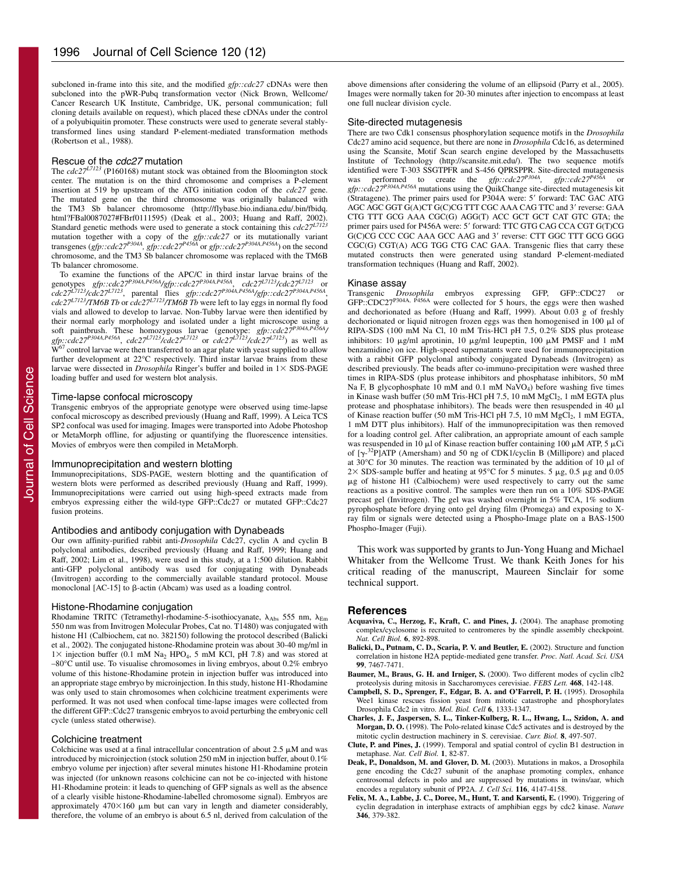subcloned in-frame into this site, and the modified *gfp::cdc27* cDNAs were then subcloned into the pWR-Pubq transformation vector (Nick Brown, Wellcome/ Cancer Research UK Institute, Cambridge, UK, personal communication; full cloning details available on request), which placed these cDNAs under the control of a polyubiquitin promoter. These constructs were used to generate several stablytransformed lines using standard P-element-mediated transformation methods (Robertson et al., 1988).

### Rescue of the cdc27 mutation

The *cdc27<sup>L7123</sup>* (P160168) mutant stock was obtained from the Bloomington stock center. The mutation is on the third chromosome and comprises a P-element insertion at 519 bp upstream of the ATG initiation codon of the *cdc27* gene. The mutated gene on the third chromosome was originally balanced with the TM3 Sb balancer chromosome (http://flybase.bio.indiana.edu/.bin/fbidq. html?FBal0087027#FBrf0111595) (Deak et al., 2003; Huang and Raff, 2002).<br>Standard genetic methods were used to generate a stock containing this *cdc27<sup>L7123</sup>* mutation together with a copy of the *gfp::cdc27* or its mutationally variant<br>transgenes (*gfp::cdc27<sup>P304A</sup>, gfp::cdc27<sup>P456A</sup>* or *gfp::cdc27<sup>P304A,P456A*) on the second</sup> chromosome, and the TM3 Sb balancer chromosome was replaced with the TM6B Tb balancer chromosome.

To examine the functions of the APC/C in third instar larvae brains of the genotypes *gfp::cdc27<sup>P304A,P456A/gfp::cdc27<sup>P304A,P456A</sup>*, *cdc27<sup>L7123</sup>/cdc27*<sup>L7123</sup> or</sup> *cdc27L7123/cdc27L7123*, parental flies *gfp::cdc27P304A,P456A/gfp::cdc27P304A,P456A*, *cdc27L7123/TM6B Tb* or *cdc27L7123/TM6B Tb* were left to lay eggs in normal fly food vials and allowed to develop to larvae. Non-Tubby larvae were then identified by their normal early morphology and isolated under a light microscope using a soft paintbrush. These homozygous larvae (genotype: *gfp::cdc27P304A,P456A/ gfp::cdc27P304A,P456A*, *cdc27L7123/cdc27L7123* or *cdc27L7123/cdc27L7123*) as well as W<sup>67</sup> control larvae were then transferred to an agar plate with yeast supplied to allow further development at 22°C respectively. Third instar larvae brains from these larvae were dissected in *Drosophila* Ringer's buffer and boiled in  $1 \times$  SDS-PAGE loading buffer and used for western blot analysis.

#### Time-lapse confocal microscopy

Transgenic embryos of the appropriate genotype were observed using time-lapse confocal microscopy as described previously (Huang and Raff, 1999). A Leica TCS SP2 confocal was used for imaging. Images were transported into Adobe Photoshop or MetaMorph offline, for adjusting or quantifying the fluorescence intensities. Movies of embryos were then compiled in MetaMorph.

#### Immunoprecipitation and western blotting

Immunoprecipitations, SDS-PAGE, western blotting and the quantification of western blots were performed as described previously (Huang and Raff, 1999). Immunoprecipitations were carried out using high-speed extracts made from embryos expressing either the wild-type GFP::Cdc27 or mutated GFP::Cdc27 fusion proteins.

#### Antibodies and antibody conjugation with Dynabeads

Our own affinity-purified rabbit anti-*Drosophila* Cdc27, cyclin A and cyclin B polyclonal antibodies, described previously (Huang and Raff, 1999; Huang and Raff, 2002; Lim et al., 1998), were used in this study, at a 1:500 dilution. Rabbit anti-GFP polyclonal antibody was used for conjugating with Dynabeads (Invitrogen) according to the commercially available standard protocol. Mouse monoclonal  $[AC-15]$  to  $\beta$ -actin (Abcam) was used as a loading control.

### Histone-Rhodamine conjugation

Rhodamine TRITC (Tetramethyl-rhodamine-5-isothiocyanate,  $\lambda_{\text{Abs}}$  555 nm,  $\lambda_{\text{Em}}$ 550 nm was from Invitrogen Molecular Probes, Cat no. T1480) was conjugated with histone H1 (Calbiochem, cat no. 382150) following the protocol described (Balicki et al., 2002). The conjugated histone-Rhodamine protein was about 30-40 mg/ml in  $1 \times$  injection buffer (0.1 mM Na<sub>2</sub> HPO<sub>4</sub>, 5 mM KCl, pH 7.8) and was stored at –80°C until use. To visualise chromosomes in living embryos, about 0.2% embryo volume of this histone-Rhodamine protein in injection buffer was introduced into an appropriate stage embryo by microinjection. In this study, histone H1-Rhodamine was only used to stain chromosomes when colchicine treatment experiments were performed. It was not used when confocal time-lapse images were collected from the different GFP::Cdc27 transgenic embryos to avoid perturbing the embryonic cell cycle (unless stated otherwise).

#### Colchicine treatment

Colchicine was used at a final intracellular concentration of about  $2.5 \mu M$  and was introduced by microinjection (stock solution 250 mM in injection buffer, about 0.1% embryo volume per injection) after several minutes histone H1-Rhodamine protein was injected (for unknown reasons colchicine can not be co-injected with histone H1-Rhodamine protein: it leads to quenching of GFP signals as well as the absence of a clearly visible histone-Rhodamine-labelled chromosome signal). Embryos are approximately  $470\times160$  µm but can vary in length and diameter considerably, therefore, the volume of an embryo is about 6.5 nl, derived from calculation of the

above dimensions after considering the volume of an ellipsoid (Parry et al., 2005). Images were normally taken for 20-30 minutes after injection to encompass at least one full nuclear division cycle.

#### Site-directed mutagenesis

There are two Cdk1 consensus phosphorylation sequence motifs in the *Drosophila* Cdc27 amino acid sequence, but there are none in *Drosophila* Cdc16, as determined using the Scansite, Motif Scan search engine developed by the Massachusetts Institute of Technology (http://scansite.mit.edu/). The two sequence motifs identified were T-303 SSGTPFR and S-456 QPRSPPR. Site-directed mutagenesis<br>was performed to create the *gfp::cdc27<sup>P304A</sup>, gfp::cdc27<sup>P456A</sup>* or *gfp::cdc27<sup>P304A,P456A* mutations using the QuikChange site-directed mutagenesis kit</sup> (Stratagene). The primer pairs used for P304A were: 5' forward: TAC GAC ATG AGC AGC GGT G(A)CT G(C)CG TTT CGC AAA CAG TTC and 3' reverse: GAA CTG TTT GCG AAA CGC(G) AGG(T) ACC GCT GCT CAT GTC GTA; the primer pairs used for P456A were: 5' forward: TTC GTG CAG CCA CGT G(T)CG G(C)CG CCC CGC AAA GCC AAG and 3' reverse: CTT GGC TTT GCG GGG  $CGC(G) CGT(A) ACG TGG CTG CAC GAA$ . Transgenic flies that carry these mutated constructs then were generated using standard P-element-mediated transformation techniques (Huang and Raff, 2002).

#### Kinase assay

Transgenic *Drosophila* embryos expressing GFP, GFP::CDC27 or GFP::CDC27P304A, P456A were collected for 5 hours, the eggs were then washed and dechorionated as before (Huang and Raff, 1999). About 0.03 g of freshly dechorionated or liquid nitrogen frozen eggs was then homogenised in  $100 \mu l$  of RIPA-SDS (100 mM Na Cl, 10 mM Tris-HCl pH 7.5, 0.2% SDS plus protease inhibitors: 10  $\mu$ g/ml aprotinin, 10  $\mu$ g/ml leupeptin, 100  $\mu$ M PMSF and 1 mM benzamidine) on ice. High-speed supernatants were used for immunoprecipitation with a rabbit GFP polyclonal antibody conjugated Dynabeads (Invitrogen) as described previously. The beads after co-immuno-precipitation were washed three times in RIPA-SDS (plus protease inhibitors and phosphatase inhibitors, 50 mM Na F, B glycophosphate 10 mM and 0.1 mM Na $\hat{V}O_4$ ) before washing five times in Kinase wash buffer (50 mM Tris-HCl pH 7.5, 10 mM MgCl<sub>2</sub>, 1 mM EGTA plus protease and phosphatase inhibitors). The beads were then resuspended in 40  $\mu$ l of Kinase reaction buffer (50 mM Tris-HCl pH 7.5, 10 mM MgCl<sub>2</sub>, 1 mM EGTA, 1 mM DTT plus inhibitors). Half of the immunoprecipitation was then removed for a loading control gel. After calibration, an appropriate amount of each sample was resuspended in 10  $\mu$ l of Kinase reaction buffer containing 100  $\mu$ M ATP, 5  $\mu$ Ci of  $[\gamma^{-32}P]$ ATP (Amersham) and 50 ng of CDK1/cyclin B (Millipore) and placed at 30 $^{\circ}$ C for 30 minutes. The reaction was terminated by the addition of 10  $\mu$ l of  $2 \times$  SDS-sample buffer and heating at 95°C for 5 minutes. 5  $\mu$ g, 0.5  $\mu$ g and 0.05 -g of histone H1 (Calbiochem) were used respectively to carry out the same reactions as a positive control. The samples were then run on a 10% SDS-PAGE precast gel (Invitrogen). The gel was washed overnight in 5% TCA, 1% sodium pyrophosphate before drying onto gel drying film (Promega) and exposing to Xray film or signals were detected using a Phospho-Image plate on a BAS-1500 Phospho-Imager (Fuji).

This work was supported by grants to Jun-Yong Huang and Michael Whitaker from the Wellcome Trust. We thank Keith Jones for his critical reading of the manuscript, Maureen Sinclair for some technical support.

#### **References**

- **Acquaviva, C., Herzog, F., Kraft, C. and Pines, J.** (2004). The anaphase promoting complex/cyclosome is recruited to centromeres by the spindle assembly checkpoint. *Nat. Cell Biol.* **6**, 892-898.
- **Balicki, D., Putnam, C. D., Scaria, P. V. and Beutler, E.** (2002). Structure and function correlation in histone H2A peptide-mediated gene transfer. *Proc. Natl. Acad. Sci. USA* **99**, 7467-7471.
- **Baumer, M., Braus, G. H. and Irniger, S.** (2000). Two different modes of cyclin clb2 proteolysis during mitosis in Saccharomyces cerevisiae. *FEBS Lett.* **468**, 142-148.
- **Campbell, S. D., Sprenger, F., Edgar, B. A. and O'Farrell, P. H.** (1995). Drosophila Wee1 kinase rescues fission yeast from mitotic catastrophe and phosphorylates Drosophila Cdc2 in vitro. *Mol. Biol. Cell* **6**, 1333-1347.
- **Charles, J. F., Jaspersen, S. L., Tinker-Kulberg, R. L., Hwang, L., Szidon, A. and Morgan, D. O.** (1998). The Polo-related kinase Cdc5 activates and is destroyed by the mitotic cyclin destruction machinery in S. cerevisiae. *Curr. Biol.* **8**, 497-507.
- **Clute, P. and Pines, J.** (1999). Temporal and spatial control of cyclin B1 destruction in metaphase. *Nat. Cell Biol.* **1**, 82-87.
- **Deak, P., Donaldson, M. and Glover, D. M.** (2003). Mutations in makos, a Drosophila gene encoding the Cdc27 subunit of the anaphase promoting complex, enhance centrosomal defects in polo and are suppressed by mutations in twins/aar, which encodes a regulatory subunit of PP2A. *J. Cell Sci.* **116**, 4147-4158.
- **Felix, M. A., Labbe, J. C., Doree, M., Hunt, T. and Karsenti, E.** (1990). Triggering of cyclin degradation in interphase extracts of amphibian eggs by cdc2 kinase. *Nature* **346**, 379-382.